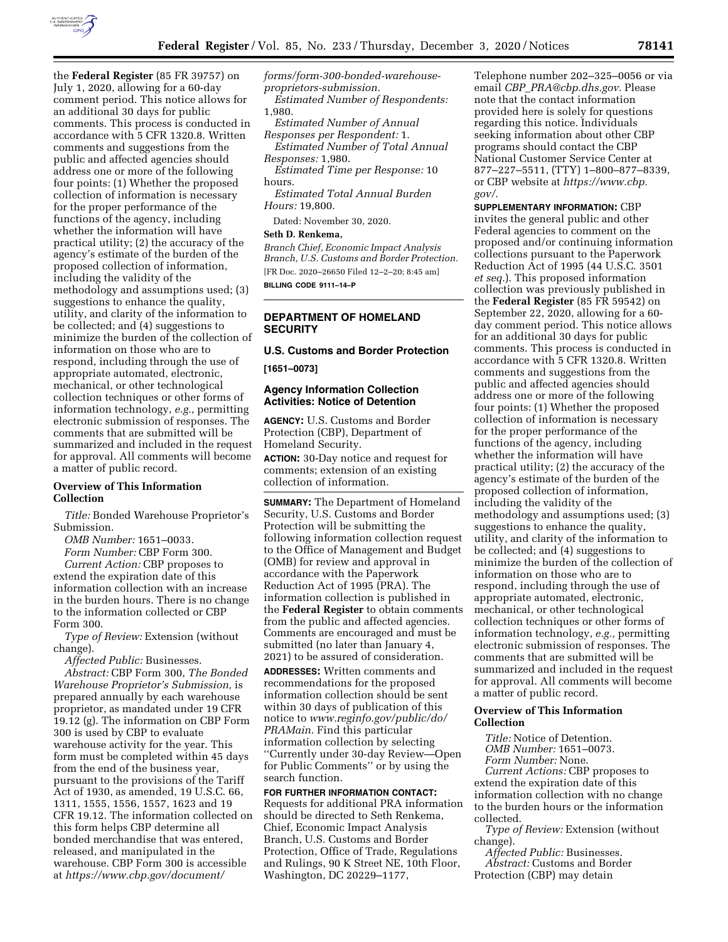

the **Federal Register** (85 FR 39757) on July 1, 2020, allowing for a 60-day comment period. This notice allows for an additional 30 days for public comments. This process is conducted in accordance with 5 CFR 1320.8. Written comments and suggestions from the public and affected agencies should address one or more of the following four points: (1) Whether the proposed collection of information is necessary for the proper performance of the functions of the agency, including whether the information will have practical utility; (2) the accuracy of the agency's estimate of the burden of the proposed collection of information, including the validity of the methodology and assumptions used; (3) suggestions to enhance the quality, utility, and clarity of the information to be collected; and (4) suggestions to minimize the burden of the collection of information on those who are to respond, including through the use of appropriate automated, electronic, mechanical, or other technological collection techniques or other forms of information technology, *e.g.,* permitting electronic submission of responses. The comments that are submitted will be summarized and included in the request for approval. All comments will become a matter of public record.

# **Overview of This Information Collection**

*Title:* Bonded Warehouse Proprietor's Submission.

*OMB Number:* 1651–0033. *Form Number:* CBP Form 300. *Current Action:* CBP proposes to extend the expiration date of this information collection with an increase in the burden hours. There is no change to the information collected or CBP Form 300.

*Type of Review:* Extension (without change).

*Affected Public:* Businesses.

*Abstract:* CBP Form 300, *The Bonded Warehouse Proprietor's Submission,* is prepared annually by each warehouse proprietor, as mandated under 19 CFR 19.12 (g). The information on CBP Form 300 is used by CBP to evaluate warehouse activity for the year. This form must be completed within 45 days from the end of the business year, pursuant to the provisions of the Tariff Act of 1930, as amended, 19 U.S.C. 66, 1311, 1555, 1556, 1557, 1623 and 19 CFR 19.12. The information collected on this form helps CBP determine all bonded merchandise that was entered, released, and manipulated in the warehouse. CBP Form 300 is accessible at *[https://www.cbp.gov/document/](https://www.cbp.gov/document/forms/form-300-bonded-warehouse-proprietors-submission)* 

*[forms/form-300-bonded-warehouse](https://www.cbp.gov/document/forms/form-300-bonded-warehouse-proprietors-submission)[proprietors-submission.](https://www.cbp.gov/document/forms/form-300-bonded-warehouse-proprietors-submission) Estimated Number of Respondents:*  1,980.

*Estimated Number of Annual Responses per Respondent:* 1.

*Estimated Number of Total Annual Responses:* 1,980.

*Estimated Time per Response:* 10 hours.

*Estimated Total Annual Burden Hours:* 19,800.

Dated: November 30, 2020.

# **Seth D. Renkema,**

*Branch Chief, Economic Impact Analysis Branch, U.S. Customs and Border Protection.*  [FR Doc. 2020–26650 Filed 12–2–20; 8:45 am] **BILLING CODE 9111–14–P** 

## **DEPARTMENT OF HOMELAND SECURITY**

# **U.S. Customs and Border Protection [1651–0073]**

#### **Agency Information Collection Activities: Notice of Detention**

**AGENCY:** U.S. Customs and Border Protection (CBP), Department of Homeland Security.

**ACTION:** 30-Day notice and request for comments; extension of an existing collection of information.

**SUMMARY:** The Department of Homeland Security, U.S. Customs and Border Protection will be submitting the following information collection request to the Office of Management and Budget (OMB) for review and approval in accordance with the Paperwork Reduction Act of 1995 (PRA). The information collection is published in the **Federal Register** to obtain comments from the public and affected agencies. Comments are encouraged and must be submitted (no later than January 4, 2021) to be assured of consideration.

**ADDRESSES:** Written comments and recommendations for the proposed information collection should be sent within 30 days of publication of this notice to *[www.reginfo.gov/public/do/](http://www.reginfo.gov/public/do/PRAMain) [PRAMain](http://www.reginfo.gov/public/do/PRAMain)*. Find this particular information collection by selecting ''Currently under 30-day Review—Open for Public Comments'' or by using the search function.

**FOR FURTHER INFORMATION CONTACT:**  Requests for additional PRA information should be directed to Seth Renkema, Chief, Economic Impact Analysis Branch, U.S. Customs and Border Protection, Office of Trade, Regulations and Rulings, 90 K Street NE, 10th Floor, Washington, DC 20229–1177,

Telephone number 202–325–0056 or via email *CBP*\_*[PRA@cbp.dhs.gov.](mailto:CBP_PRA@cbp.dhs.gov)* Please note that the contact information provided here is solely for questions regarding this notice. Individuals seeking information about other CBP programs should contact the CBP National Customer Service Center at 877–227–5511, (TTY) 1–800–877–8339, or CBP website at *[https://www.cbp.](https://www.cbp.gov/)  [gov/.](https://www.cbp.gov/)* 

**SUPPLEMENTARY INFORMATION:** CBP invites the general public and other Federal agencies to comment on the proposed and/or continuing information collections pursuant to the Paperwork Reduction Act of 1995 (44 U.S.C. 3501 *et seq.*). This proposed information collection was previously published in the **Federal Register** (85 FR 59542) on September 22, 2020, allowing for a 60 day comment period. This notice allows for an additional 30 days for public comments. This process is conducted in accordance with 5 CFR 1320.8. Written comments and suggestions from the public and affected agencies should address one or more of the following four points: (1) Whether the proposed collection of information is necessary for the proper performance of the functions of the agency, including whether the information will have practical utility; (2) the accuracy of the agency's estimate of the burden of the proposed collection of information, including the validity of the methodology and assumptions used; (3) suggestions to enhance the quality, utility, and clarity of the information to be collected; and (4) suggestions to minimize the burden of the collection of information on those who are to respond, including through the use of appropriate automated, electronic, mechanical, or other technological collection techniques or other forms of information technology, *e.g.,* permitting electronic submission of responses. The comments that are submitted will be summarized and included in the request for approval. All comments will become a matter of public record.

# **Overview of This Information Collection**

*Title:* Notice of Detention. *OMB Number:* 1651–0073. *Form Number:* None. *Current Actions:* CBP proposes to extend the expiration date of this information collection with no change to the burden hours or the information

collected. *Type of Review:* Extension (without change).

*Affected Public:* Businesses. *Abstract:* Customs and Border Protection (CBP) may detain